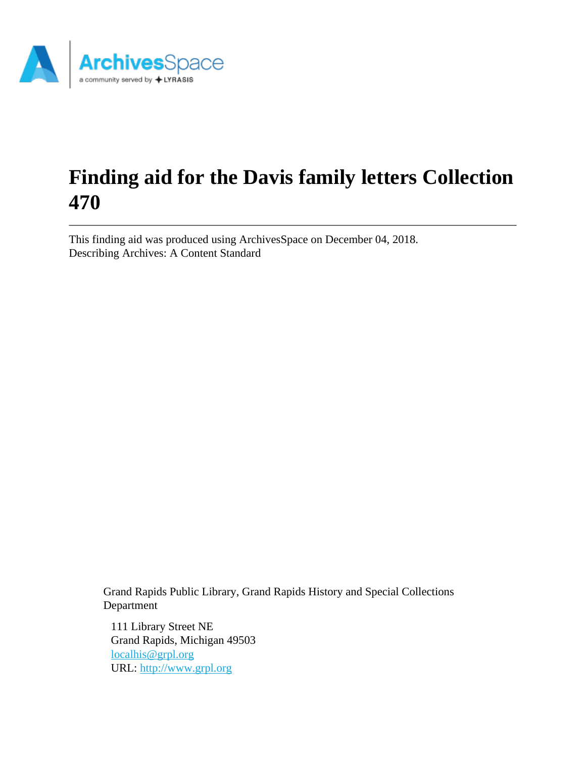

# **Finding aid for the Davis family letters Collection 470**

This finding aid was produced using ArchivesSpace on December 04, 2018. Describing Archives: A Content Standard

Grand Rapids Public Library, Grand Rapids History and Special Collections Department

111 Library Street NE Grand Rapids, Michigan 49503 [localhis@grpl.org](mailto:localhis@grpl.org) URL:<http://www.grpl.org>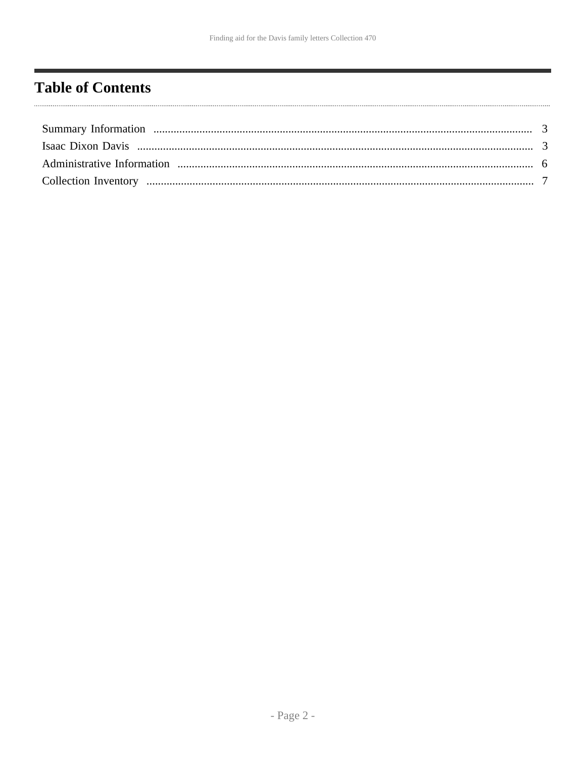# <span id="page-1-0"></span>**Table of Contents**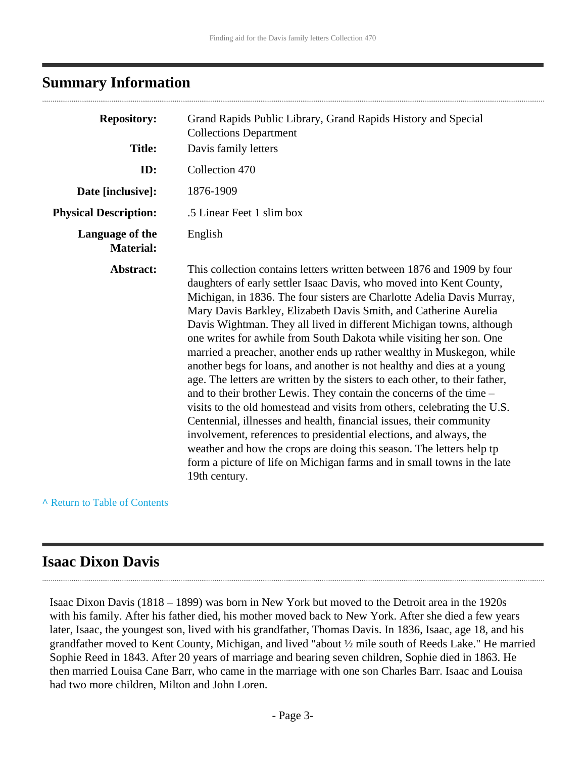### <span id="page-2-0"></span>**Summary Information**

| <b>Repository:</b>                  | Grand Rapids Public Library, Grand Rapids History and Special<br><b>Collections Department</b>                                                                                                                                                                                                                                                                                                                                                                                                                                                                                                                                                                                                                                                                                                                                                                                                                                                                                                                                                                                                                                                   |
|-------------------------------------|--------------------------------------------------------------------------------------------------------------------------------------------------------------------------------------------------------------------------------------------------------------------------------------------------------------------------------------------------------------------------------------------------------------------------------------------------------------------------------------------------------------------------------------------------------------------------------------------------------------------------------------------------------------------------------------------------------------------------------------------------------------------------------------------------------------------------------------------------------------------------------------------------------------------------------------------------------------------------------------------------------------------------------------------------------------------------------------------------------------------------------------------------|
| <b>Title:</b>                       | Davis family letters                                                                                                                                                                                                                                                                                                                                                                                                                                                                                                                                                                                                                                                                                                                                                                                                                                                                                                                                                                                                                                                                                                                             |
| ID:                                 | Collection 470                                                                                                                                                                                                                                                                                                                                                                                                                                                                                                                                                                                                                                                                                                                                                                                                                                                                                                                                                                                                                                                                                                                                   |
| Date [inclusive]:                   | 1876-1909                                                                                                                                                                                                                                                                                                                                                                                                                                                                                                                                                                                                                                                                                                                                                                                                                                                                                                                                                                                                                                                                                                                                        |
| <b>Physical Description:</b>        | .5 Linear Feet 1 slim box                                                                                                                                                                                                                                                                                                                                                                                                                                                                                                                                                                                                                                                                                                                                                                                                                                                                                                                                                                                                                                                                                                                        |
| Language of the<br><b>Material:</b> | English                                                                                                                                                                                                                                                                                                                                                                                                                                                                                                                                                                                                                                                                                                                                                                                                                                                                                                                                                                                                                                                                                                                                          |
| Abstract:                           | This collection contains letters written between 1876 and 1909 by four<br>daughters of early settler Isaac Davis, who moved into Kent County,<br>Michigan, in 1836. The four sisters are Charlotte Adelia Davis Murray,<br>Mary Davis Barkley, Elizabeth Davis Smith, and Catherine Aurelia<br>Davis Wightman. They all lived in different Michigan towns, although<br>one writes for awhile from South Dakota while visiting her son. One<br>married a preacher, another ends up rather wealthy in Muskegon, while<br>another begs for loans, and another is not healthy and dies at a young<br>age. The letters are written by the sisters to each other, to their father,<br>and to their brother Lewis. They contain the concerns of the time -<br>visits to the old homestead and visits from others, celebrating the U.S.<br>Centennial, illnesses and health, financial issues, their community<br>involvement, references to presidential elections, and always, the<br>weather and how the crops are doing this season. The letters help tp<br>form a picture of life on Michigan farms and in small towns in the late<br>19th century. |

**^** [Return to Table of Contents](#page-1-0)

### <span id="page-2-1"></span>**Isaac Dixon Davis**

Isaac Dixon Davis (1818 – 1899) was born in New York but moved to the Detroit area in the 1920s with his family. After his father died, his mother moved back to New York. After she died a few years later, Isaac, the youngest son, lived with his grandfather, Thomas Davis. In 1836, Isaac, age 18, and his grandfather moved to Kent County, Michigan, and lived "about ½ mile south of Reeds Lake." He married Sophie Reed in 1843. After 20 years of marriage and bearing seven children, Sophie died in 1863. He then married Louisa Cane Barr, who came in the marriage with one son Charles Barr. Isaac and Louisa had two more children, Milton and John Loren.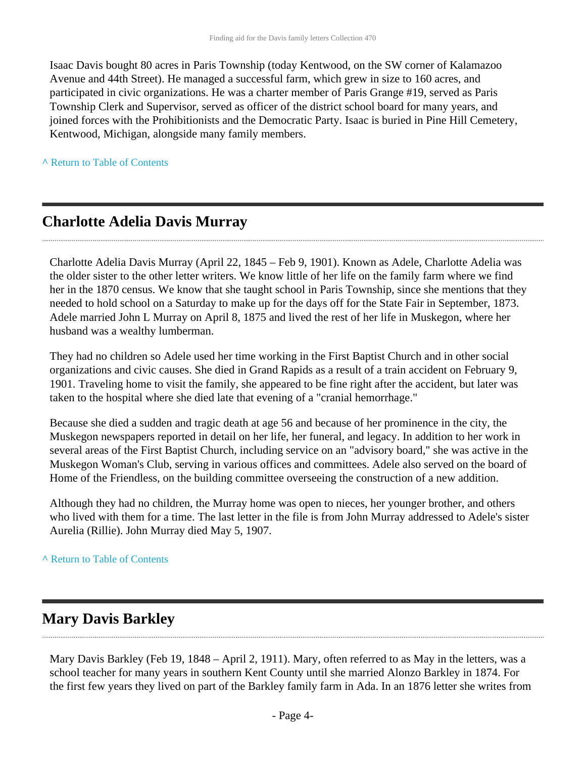Isaac Davis bought 80 acres in Paris Township (today Kentwood, on the SW corner of Kalamazoo Avenue and 44th Street). He managed a successful farm, which grew in size to 160 acres, and participated in civic organizations. He was a charter member of Paris Grange #19, served as Paris Township Clerk and Supervisor, served as officer of the district school board for many years, and joined forces with the Prohibitionists and the Democratic Party. Isaac is buried in Pine Hill Cemetery, Kentwood, Michigan, alongside many family members.

**^** [Return to Table of Contents](#page-1-0)

### **Charlotte Adelia Davis Murray**

Charlotte Adelia Davis Murray (April 22, 1845 – Feb 9, 1901). Known as Adele, Charlotte Adelia was the older sister to the other letter writers. We know little of her life on the family farm where we find her in the 1870 census. We know that she taught school in Paris Township, since she mentions that they needed to hold school on a Saturday to make up for the days off for the State Fair in September, 1873. Adele married John L Murray on April 8, 1875 and lived the rest of her life in Muskegon, where her husband was a wealthy lumberman.

They had no children so Adele used her time working in the First Baptist Church and in other social organizations and civic causes. She died in Grand Rapids as a result of a train accident on February 9, 1901. Traveling home to visit the family, she appeared to be fine right after the accident, but later was taken to the hospital where she died late that evening of a "cranial hemorrhage."

Because she died a sudden and tragic death at age 56 and because of her prominence in the city, the Muskegon newspapers reported in detail on her life, her funeral, and legacy. In addition to her work in several areas of the First Baptist Church, including service on an "advisory board," she was active in the Muskegon Woman's Club, serving in various offices and committees. Adele also served on the board of Home of the Friendless, on the building committee overseeing the construction of a new addition.

Although they had no children, the Murray home was open to nieces, her younger brother, and others who lived with them for a time. The last letter in the file is from John Murray addressed to Adele's sister Aurelia (Rillie). John Murray died May 5, 1907.

#### **^** [Return to Table of Contents](#page-1-0)

### **Mary Davis Barkley**

Mary Davis Barkley (Feb 19, 1848 – April 2, 1911). Mary, often referred to as May in the letters, was a school teacher for many years in southern Kent County until she married Alonzo Barkley in 1874. For the first few years they lived on part of the Barkley family farm in Ada. In an 1876 letter she writes from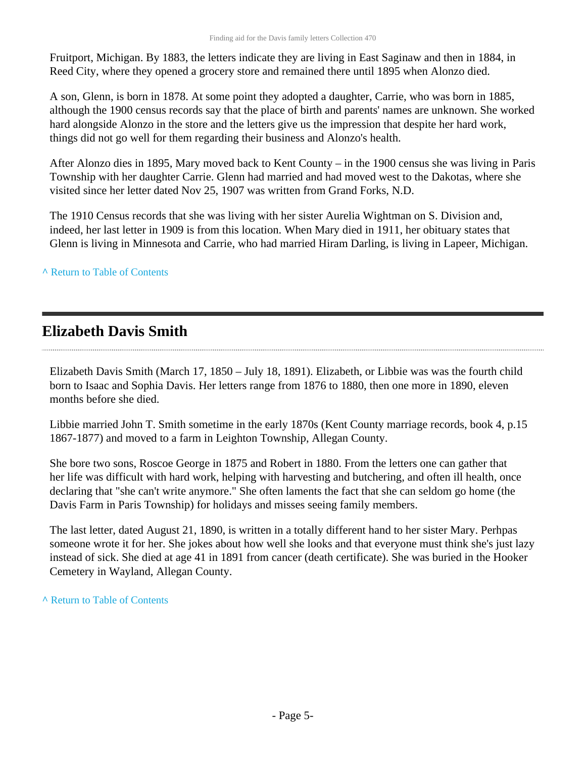Fruitport, Michigan. By 1883, the letters indicate they are living in East Saginaw and then in 1884, in Reed City, where they opened a grocery store and remained there until 1895 when Alonzo died.

A son, Glenn, is born in 1878. At some point they adopted a daughter, Carrie, who was born in 1885, although the 1900 census records say that the place of birth and parents' names are unknown. She worked hard alongside Alonzo in the store and the letters give us the impression that despite her hard work, things did not go well for them regarding their business and Alonzo's health.

After Alonzo dies in 1895, Mary moved back to Kent County – in the 1900 census she was living in Paris Township with her daughter Carrie. Glenn had married and had moved west to the Dakotas, where she visited since her letter dated Nov 25, 1907 was written from Grand Forks, N.D.

The 1910 Census records that she was living with her sister Aurelia Wightman on S. Division and, indeed, her last letter in 1909 is from this location. When Mary died in 1911, her obituary states that Glenn is living in Minnesota and Carrie, who had married Hiram Darling, is living in Lapeer, Michigan.

#### **^** [Return to Table of Contents](#page-1-0)

## **Elizabeth Davis Smith**

Elizabeth Davis Smith (March 17, 1850 – July 18, 1891). Elizabeth, or Libbie was was the fourth child born to Isaac and Sophia Davis. Her letters range from 1876 to 1880, then one more in 1890, eleven months before she died.

Libbie married John T. Smith sometime in the early 1870s (Kent County marriage records, book 4, p.15 1867-1877) and moved to a farm in Leighton Township, Allegan County.

She bore two sons, Roscoe George in 1875 and Robert in 1880. From the letters one can gather that her life was difficult with hard work, helping with harvesting and butchering, and often ill health, once declaring that "she can't write anymore." She often laments the fact that she can seldom go home (the Davis Farm in Paris Township) for holidays and misses seeing family members.

The last letter, dated August 21, 1890, is written in a totally different hand to her sister Mary. Perhpas someone wrote it for her. She jokes about how well she looks and that everyone must think she's just lazy instead of sick. She died at age 41 in 1891 from cancer (death certificate). She was buried in the Hooker Cemetery in Wayland, Allegan County.

**^** [Return to Table of Contents](#page-1-0)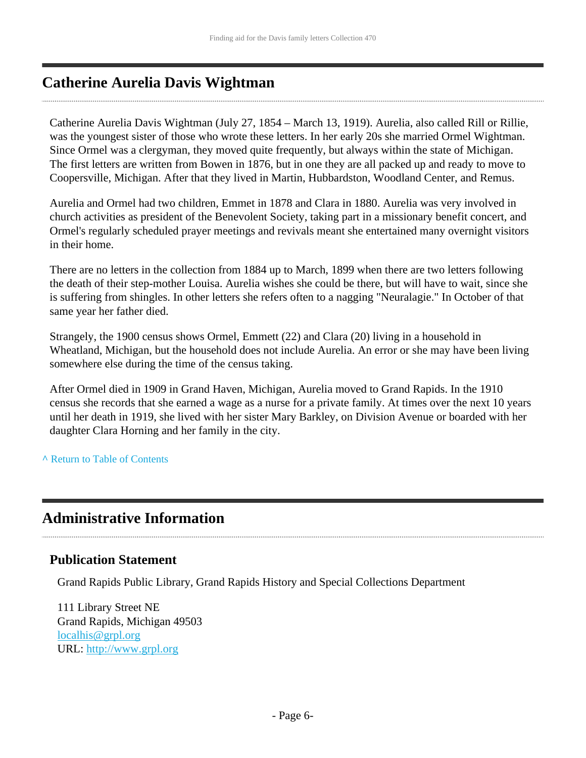# **Catherine Aurelia Davis Wightman**

Catherine Aurelia Davis Wightman (July 27, 1854 – March 13, 1919). Aurelia, also called Rill or Rillie, was the youngest sister of those who wrote these letters. In her early 20s she married Ormel Wightman. Since Ormel was a clergyman, they moved quite frequently, but always within the state of Michigan. The first letters are written from Bowen in 1876, but in one they are all packed up and ready to move to Coopersville, Michigan. After that they lived in Martin, Hubbardston, Woodland Center, and Remus.

Aurelia and Ormel had two children, Emmet in 1878 and Clara in 1880. Aurelia was very involved in church activities as president of the Benevolent Society, taking part in a missionary benefit concert, and Ormel's regularly scheduled prayer meetings and revivals meant she entertained many overnight visitors in their home.

There are no letters in the collection from 1884 up to March, 1899 when there are two letters following the death of their step-mother Louisa. Aurelia wishes she could be there, but will have to wait, since she is suffering from shingles. In other letters she refers often to a nagging "Neuralagie." In October of that same year her father died.

Strangely, the 1900 census shows Ormel, Emmett (22) and Clara (20) living in a household in Wheatland, Michigan, but the household does not include Aurelia. An error or she may have been living somewhere else during the time of the census taking.

After Ormel died in 1909 in Grand Haven, Michigan, Aurelia moved to Grand Rapids. In the 1910 census she records that she earned a wage as a nurse for a private family. At times over the next 10 years until her death in 1919, she lived with her sister Mary Barkley, on Division Avenue or boarded with her daughter Clara Horning and her family in the city.

**^** [Return to Table of Contents](#page-1-0)

## <span id="page-5-0"></span>**Administrative Information**

#### **Publication Statement**

Grand Rapids Public Library, Grand Rapids History and Special Collections Department

111 Library Street NE Grand Rapids, Michigan 49503 [localhis@grpl.org](mailto:localhis@grpl.org) URL:<http://www.grpl.org>